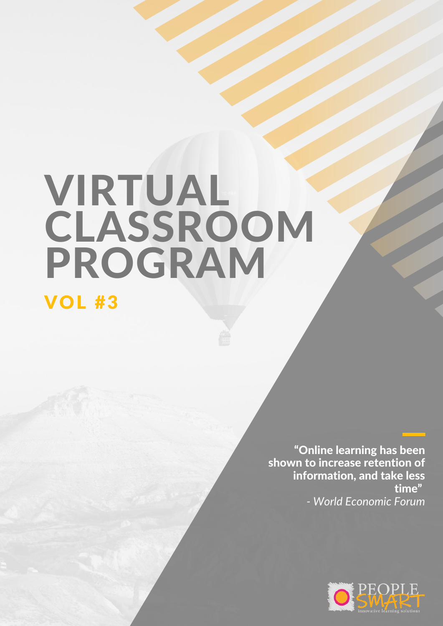# VIRTUAL **CLASSROOM** PROGRAM

## VOL #3

"Online learning has been shown to increase retention of information, and take less time" *- World Economic Forum*

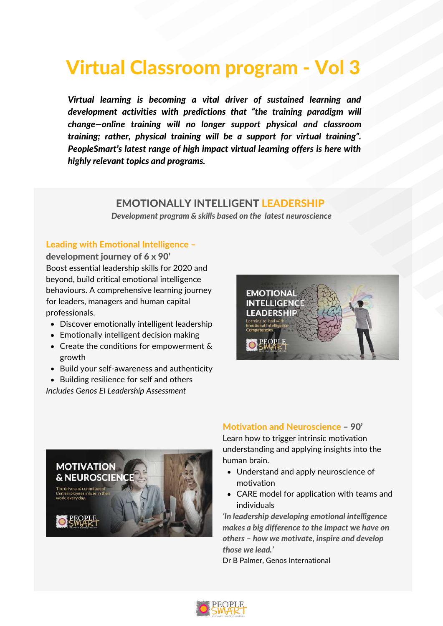# Virtual Classroom program - Vol 3

*Virtual learning is becoming a vital driver of sustained learning and development activities with predictions that "the training paradigm will change—online training will no longer support physical and classroom training; rather, physical training will be a support for virtual training". PeopleSmart's latest range of high impact virtual learning offers is here with highly relevant topics and programs.*

#### EMOTIONALLY INTELLIGENT LEADERSHIP

*Development program & skills based on the latest neuroscience*

#### Leading with Emotional Intelligence –

development journey of 6 x 90' Boost essential leadership skills for 2020 and beyond, build critical emotional intelligence behaviours. A comprehensive learning journey for leaders, managers and human capital professionals.

- Discover emotionally intelligent leadership
- Emotionally intelligent decision making
- Create the conditions for empowerment  $\&$ growth
- Build your self-awareness and authenticity
- Building resilience for self and others

*Includes Genos EI Leadership Assessment*





Motivation and Neuroscience – 90' Learn how to trigger intrinsic motivation understanding and applying insights into the human brain.

- Understand and apply neuroscience of motivation
- CARE model for application with teams and individuals

*'In leadership developing emotional intelligence makes a big difference to the impact we have on others – how we motivate, inspire and develop those we lead.'*

Dr B Palmer, Genos International

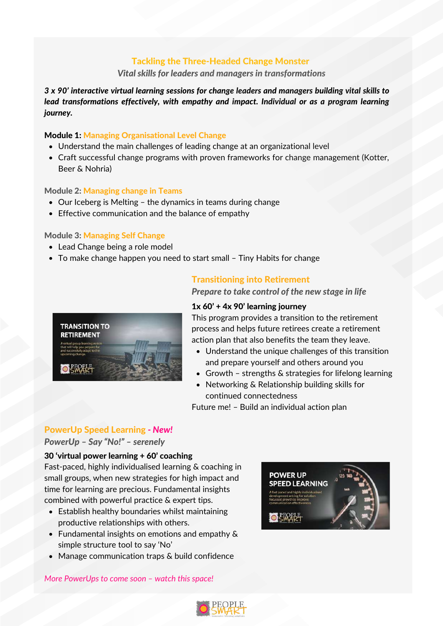#### Tackling the Three-Headed Change Monster

#### *Vital skills for leaders and managers in transformations*

*3 x 90' interactive virtual learning sessions for change leaders and managers building vital skills to lead transformations effectively, with empathy and impact. Individual or as a program learning journey.*

#### Module 1: Managing Organisational Level Change

- Understand the main challenges of leading change at an organizational level
- Craft successful change programs with proven frameworks for change management (Kotter, Beer & Nohria)

#### Module 2: Managing change in Teams

- Our Iceberg is Melting the dynamics in teams during change
- Effective communication and the balance of empathy

#### Module 3: Managing Self Change

- Lead Change being a role model
- To make change happen you need to start small Tiny Habits for change



#### Transitioning into Retirement

*Prepare to take control of the new stage in life*

#### $1x$  60' + 4x 90' learning journey

This program provides a transition to the retirement process and helps future retirees create a retirement action plan that also benefits the team they leave.

- Understand the unique challenges of this transition and prepare yourself and others around you
- Growth strengths & strategies for lifelong learning
- Networking & Relationship building skills for continued connectedness

Future me! – Build an individual action plan

#### PowerUp Speed Learning *- New!*

#### *PowerUp – Say "No!" – serenely*

#### 30 'virtual power learning + 60' coaching

Fast-paced, highly individualised learning & coaching in small groups, when new strategies for high impact and time for learning are precious. Fundamental insights combined with powerful practice & expert tips.

- Establish healthy boundaries whilst maintaining productive relationships with others.
- Fundamental insights on emotions and empathy & simple structure tool to say 'No'
- Manage communication traps & build confidence



*More PowerUps to come soon – watch this space!*

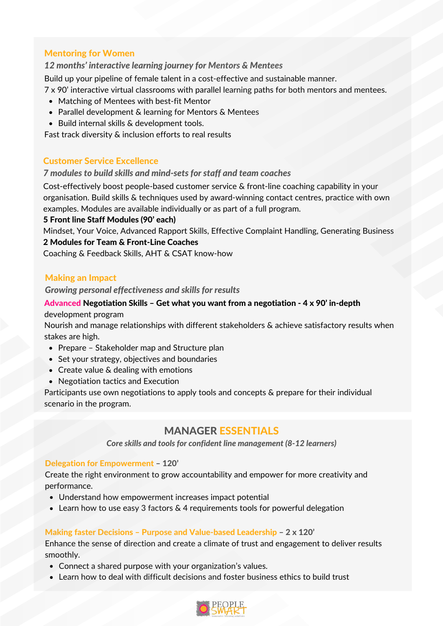#### Mentoring for Women

#### *12 months' interactive learning journey for Mentors & Mentees*

Build up your pipeline of female talent in a cost-effective and sustainable manner.

- 7 x 90' interactive virtual classrooms with parallel learning paths for both mentors and mentees.
- Matching of Mentees with best-fit Mentor
- Parallel development & learning for Mentors & Mentees
- Build internal skills & development tools.

Fast track diversity & inclusion efforts to real results

#### Customer Service Excellence

#### *7 modules to build skills and mind-sets for staff and team coaches*

Cost-effectively boost people-based customer service & front-line coaching capability in your organisation. Build skills & techniques used by award-winning contact centres, practice with own examples. Modules are available individually or as part of a full program.

#### 5 Front line Staff Modules (90' each)

Mindset, Your Voice, Advanced Rapport Skills, Effective Complaint Handling, Generating Business 2 Modules for Team & Front-Line Coaches

Coaching & Feedback Skills, AHT & CSAT know-how

#### Making an Impact

*Growing personal effectiveness and skills for results*

## Advanced Negotiation Skills – Get what you want from a negotiation - 4 x 90' in-depth

development program

Nourish and manage relationships with different stakeholders & achieve satisfactory results when stakes are high.

- Prepare Stakeholder map and Structure plan
- Set your strategy, objectives and boundaries
- Create value & dealing with emotions
- Negotiation tactics and Execution

Participants use own negotiations to apply tools and concepts & prepare for their individual scenario in the program.

#### MANAGER ESSENTIALS

*Core skills and tools for confident line management (8-12 learners)*

#### Delegation for Empowerment – 120'

Create the right environment to grow accountability and empower for more creativity and performance.

- Understand how empowerment increases impact potential
- Learn how to use easy 3 factors & 4 requirements tools for powerful delegation

#### Making faster Decisions – Purpose and Value-based Leadership – 2 x 120'

Enhance the sense of direction and create a climate of trust and engagement to deliver results smoothly.

- Connect a shared purpose with your organization's values.
- Learn how to deal with difficult decisions and foster business ethics to build trust